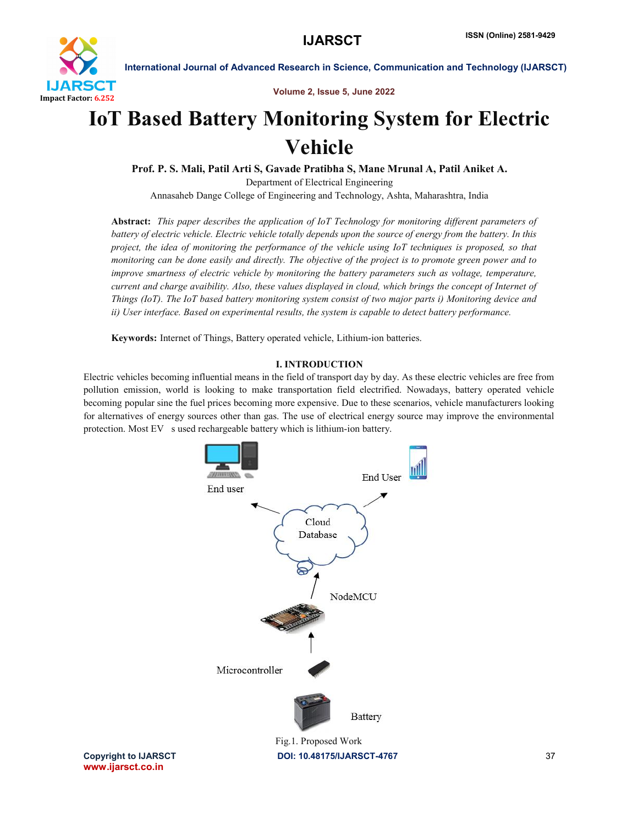

Volume 2, Issue 5, June 2022

# IoT Based Battery Monitoring System for Electric Vehicle

Prof. P. S. Mali, Patil Arti S, Gavade Pratibha S, Mane Mrunal A, Patil Aniket A. Department of Electrical Engineering Annasaheb Dange College of Engineering and Technology, Ashta, Maharashtra, India

Abstract: *This paper describes the application of IoT Technology for monitoring different parameters of battery of electric vehicle. Electric vehicle totally depends upon the source of energy from the battery. In this project, the idea of monitoring the performance of the vehicle using IoT techniques is proposed, so that monitoring can be done easily and directly. The objective of the project is to promote green power and to improve smartness of electric vehicle by monitoring the battery parameters such as voltage, temperature, current and charge avaibility. Also, these values displayed in cloud, which brings the concept of Internet of Things (IoT). The IoT based battery monitoring system consist of two major parts i) Monitoring device and ii) User interface. Based on experimental results, the system is capable to detect battery performance.*

Keywords: Internet of Things, Battery operated vehicle, Lithium-ion batteries.

# I. INTRODUCTION

Electric vehicles becoming influential means in the field of transport day by day. As these electric vehicles are free from pollution emission, world is looking to make transportation field electrified. Nowadays, battery operated vehicle becoming popular sine the fuel prices becoming more expensive. Due to these scenarios, vehicle manufacturers looking for alternatives of energy sources other than gas. The use of electrical energy source may improve the environmental protection. Most EV s used rechargeable battery which is lithium-ion battery.



www.ijarsct.co.in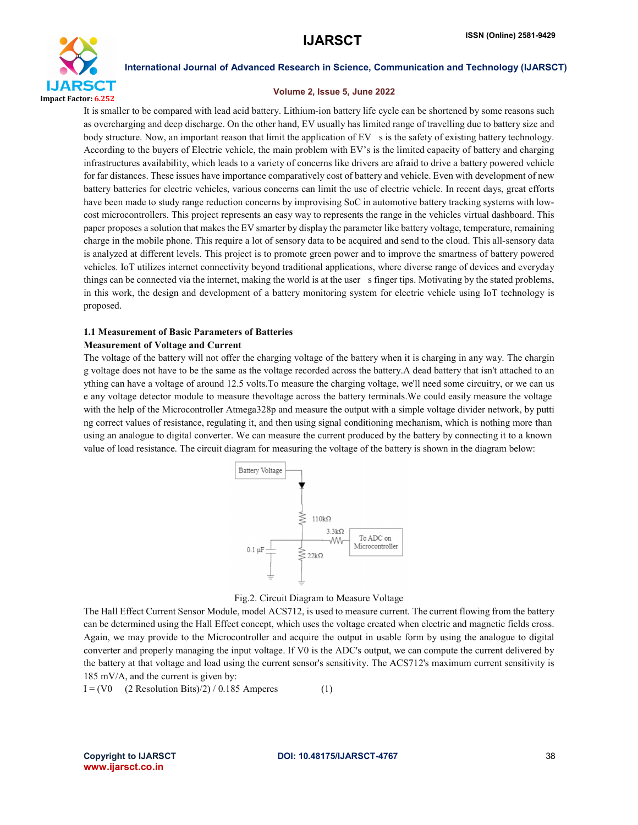

### Volume 2, Issue 5, June 2022

It is smaller to be compared with lead acid battery. Lithium-ion battery life cycle can be shortened by some reasons such as overcharging and deep discharge. On the other hand, EV usually has limited range of travelling due to battery size and body structure. Now, an important reason that limit the application of EV s is the safety of existing battery technology. According to the buyers of Electric vehicle, the main problem with EV's is the limited capacity of battery and charging infrastructures availability, which leads to a variety of concerns like drivers are afraid to drive a battery powered vehicle for far distances. These issues have importance comparatively cost of battery and vehicle. Even with development of new battery batteries for electric vehicles, various concerns can limit the use of electric vehicle. In recent days, great efforts have been made to study range reduction concerns by improvising SoC in automotive battery tracking systems with lowcost microcontrollers. This project represents an easy way to represents the range in the vehicles virtual dashboard. This paper proposes a solution that makes the EV smarter by display the parameter like battery voltage, temperature, remaining charge in the mobile phone. This require a lot of sensory data to be acquired and send to the cloud. This all-sensory data is analyzed at different levels. This project is to promote green power and to improve the smartness of battery powered vehicles. IoT utilizes internet connectivity beyond traditional applications, where diverse range of devices and everyday things can be connected via the internet, making the world is at the user s finger tips. Motivating by the stated problems, in this work, the design and development of a battery monitoring system for electric vehicle using IoT technology is proposed.

### 1.1 Measurement of Basic Parameters of Batteries

### Measurement of Voltage and Current

The voltage of the battery will not offer the charging voltage of the battery when it is charging in any way. The chargin g voltage does not have to be the same as the voltage recorded across the battery.A dead battery that isn't attached to an ything can have a voltage of around 12.5 volts.To measure the charging voltage, we'll need some circuitry, or we can us e any voltage detector module to measure thevoltage across the battery terminals.We could easily measure the voltage with the help of the Microcontroller Atmega328p and measure the output with a simple voltage divider network, by putting ng correct values of resistance, regulating it, and then using signal conditioning mechanism, which is nothing more than using an analogue to digital converter. We can measure the current produced by the battery by connecting it to a known value of load resistance. The circuit diagram for measuring the voltage of the battery is shown in the diagram below:





The Hall Effect Current Sensor Module, model ACS712, is used to measure current. The current flowing from the battery can be determined using the Hall Effect concept, which uses the voltage created when electric and magnetic fields cross. Again, we may provide to the Microcontroller and acquire the output in usable form by using the analogue to digital converter and properly managing the input voltage. If V0 is the ADC's output, we can compute the current delivered by the battery at that voltage and load using the current sensor's sensitivity. The ACS712's maximum current sensitivity is 185 mV/A, and the current is given by:

 $I = (V0 \t (2 Resolution Bits)/2) / 0.185$  Amperes (1)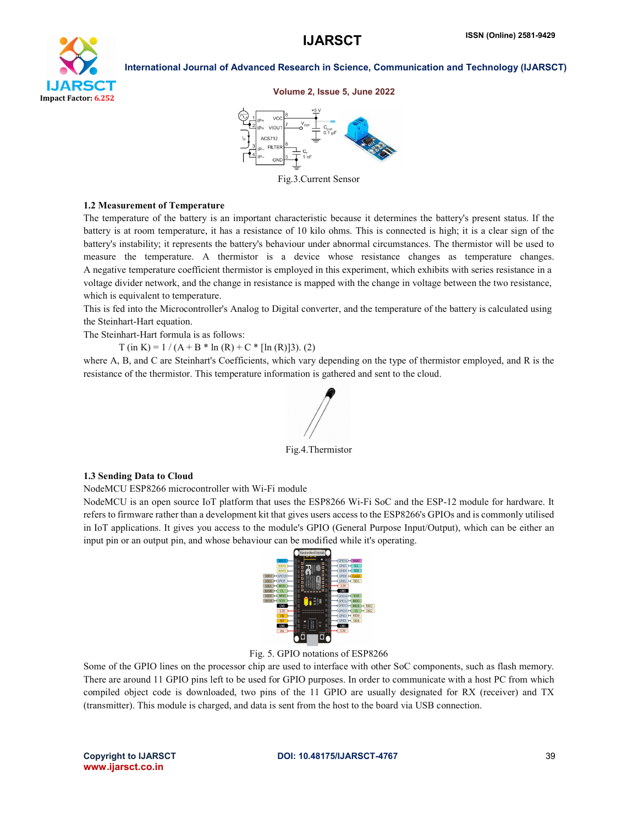

### Volume 2, Issue 5, June 2022



Fig.3.Current Sensor

### 1.2 Measurement of Temperature

The temperature of the battery is an important characteristic because it determines the battery's present status. If the battery is at room temperature, it has a resistance of 10 kilo ohms. This is connected is high; it is a clear sign of the battery's instability; it represents the battery's behaviour under abnormal circumstances. The thermistor will be used to measure the temperature. A thermistor is a device whose resistance changes as temperature changes. A negative temperature coefficient thermistor is employed in this experiment, which exhibits with series resistance in a voltage divider network, and the change in resistance is mapped with the change in voltage between the two resistance, which is equivalent to temperature.

This is fed into the Microcontroller's Analog to Digital converter, and the temperature of the battery is calculated using the Steinhart-Hart equation.

The Steinhart-Hart formula is as follows:

 $T$  (in K) = 1 / (A + B  $*$  ln (R) + C  $*$  [ln (R)]3). (2)

where A, B, and C are Steinhart's Coefficients, which vary depending on the type of thermistor employed, and R is the resistance of the thermistor. This temperature information is gathered and sent to the cloud.



Fig.4.Thermistor

### 1.3 Sending Data to Cloud

NodeMCU ESP8266 microcontroller with Wi-Fi module

NodeMCU is an open source IoT platform that uses the ESP8266 Wi-Fi SoC and the ESP-12 module for hardware. It refers to firmware rather than a development kit that gives users access to the ESP8266's GPIOs and is commonly utilised in IoT applications. It gives you access to the module's GPIO (General Purpose Input/Output), which can be either an input pin or an output pin, and whose behaviour can be modified while it's operating.



Fig. 5. GPIO notations of ESP8266

Some of the GPIO lines on the processor chip are used to interface with other SoC components, such as flash memory. There are around 11 GPIO pins left to be used for GPIO purposes. In order to communicate with a host PC from which compiled object code is downloaded, two pins of the 11 GPIO are usually designated for RX (receiver) and TX (transmitter). This module is charged, and data is sent from the host to the board via USB connection.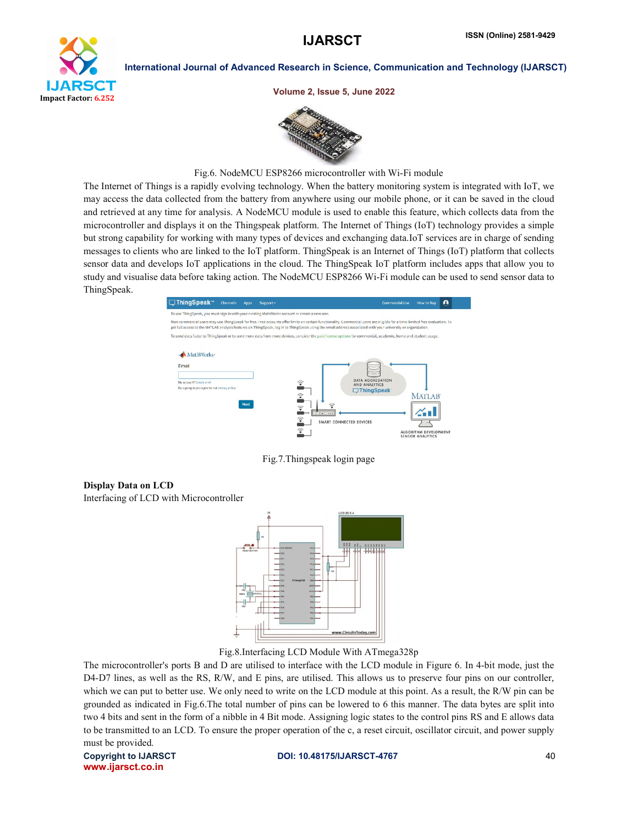

Volume 2, Issue 5, June 2022



Fig.6. NodeMCU ESP8266 microcontroller with Wi-Fi module

The Internet of Things is a rapidly evolving technology. When the battery monitoring system is integrated with IoT, we may access the data collected from the battery from anywhere using our mobile phone, or it can be saved in the cloud and retrieved at any time for analysis. A NodeMCU module is used to enable this feature, which collects data from the microcontroller and displays it on the Thingspeak platform. The Internet of Things (IoT) technology provides a simple but strong capability for working with many types of devices and exchanging data.IoT services are in charge of sending messages to clients who are linked to the IoT platform. ThingSpeak is an Internet of Things (IoT) platform that collects sensor data and develops IoT applications in the cloud. The ThingSpeak IoT platform includes apps that allow you to study and visualise data before taking action. The NodeMCU ESP8266 Wi-Fi module can be used to send sensor data to ThingSpeak.



Fig.7.Thingspeak login page

# Display Data on LCD

Interfacing of LCD with Microcontroller



Fig.8.Interfacing LCD Module With ATmega328p

The microcontroller's ports B and D are utilised to interface with the LCD module in Figure 6. In 4-bit mode, just the D4-D7 lines, as well as the RS, R/W, and E pins, are utilised. This allows us to preserve four pins on our controller, which we can put to better use. We only need to write on the LCD module at this point. As a result, the R/W pin can be grounded as indicated in Fig.6.The total number of pins can be lowered to 6 this manner. The data bytes are split into two 4 bits and sent in the form of a nibble in 4 Bit mode. Assigning logic states to the control pins RS and E allows data to be transmitted to an LCD. To ensure the proper operation of the c, a reset circuit, oscillator circuit, and power supply must be provided.

www.ijarsct.co.in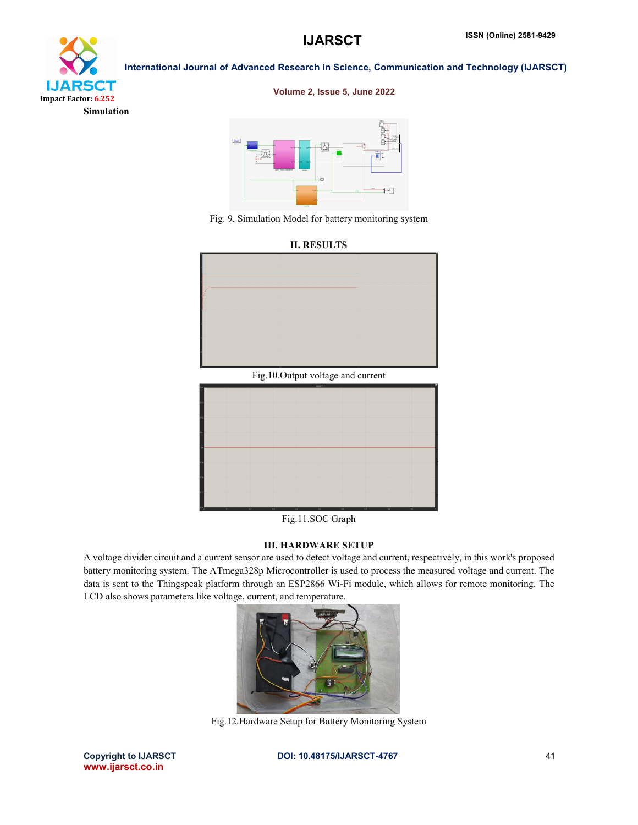

### Volume 2, Issue 5, June 2022







Fig.11.SOC Graph

### III. HARDWARE SETUP

A voltage divider circuit and a current sensor are used to detect voltage and current, respectively, in this work's proposed battery monitoring system. The ATmega328p Microcontroller is used to process the measured voltage and current. The data is sent to the Thingspeak platform through an ESP2866 Wi-Fi module, which allows for remote monitoring. The LCD also shows parameters like voltage, current, and temperature.



Fig.12.Hardware Setup for Battery Monitoring System

www.ijarsct.co.in

Copyright to IJARSCT **DOI: 10.48175/IJARSCT-4767** 41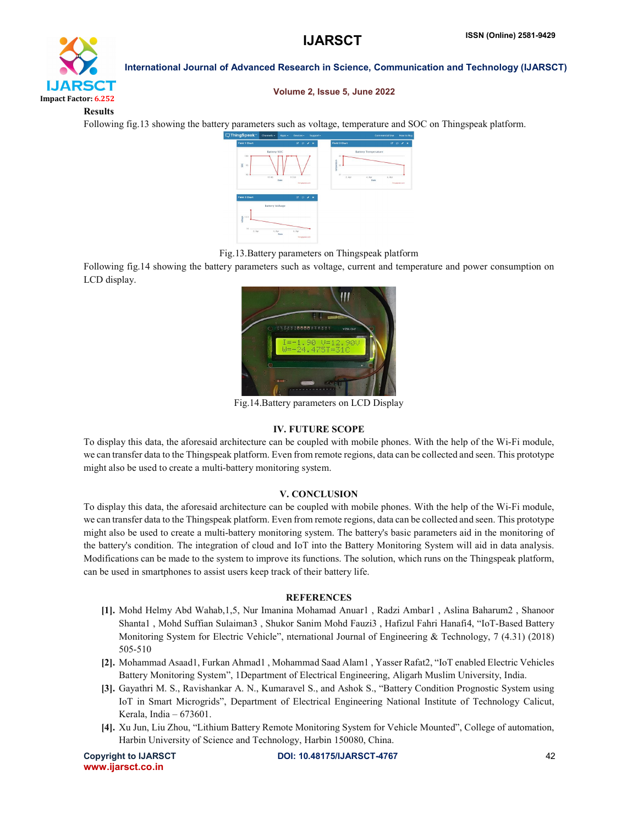

### Volume 2, Issue 5, June 2022

Results

Following fig.13 showing the battery parameters such as voltage, temperature and SOC on Thingspeak platform.



Fig.13.Battery parameters on Thingspeak platform

Following fig.14 showing the battery parameters such as voltage, current and temperature and power consumption on LCD display.



Fig.14.Battery parameters on LCD Display

# IV. FUTURE SCOPE

To display this data, the aforesaid architecture can be coupled with mobile phones. With the help of the Wi-Fi module, we can transfer data to the Thingspeak platform. Even from remote regions, data can be collected and seen. This prototype might also be used to create a multi-battery monitoring system.

# V. CONCLUSION

To display this data, the aforesaid architecture can be coupled with mobile phones. With the help of the Wi-Fi module, we can transfer data to the Thingspeak platform. Even from remote regions, data can be collected and seen. This prototype might also be used to create a multi-battery monitoring system. The battery's basic parameters aid in the monitoring of the battery's condition. The integration of cloud and IoT into the Battery Monitoring System will aid in data analysis. Modifications can be made to the system to improve its functions. The solution, which runs on the Thingspeak platform, can be used in smartphones to assist users keep track of their battery life.

# **REFERENCES**

- [1]. Mohd Helmy Abd Wahab,1,5, Nur Imanina Mohamad Anuar1 , Radzi Ambar1 , Aslina Baharum2 , Shanoor Shanta1 , Mohd Suffian Sulaiman3 , Shukor Sanim Mohd Fauzi3 , Hafizul Fahri Hanafi4, "IoT-Based Battery Monitoring System for Electric Vehicle", nternational Journal of Engineering & Technology, 7 (4.31) (2018) 505-510
- [2]. Mohammad Asaad1, Furkan Ahmad1 , Mohammad Saad Alam1 , Yasser Rafat2, "IoT enabled Electric Vehicles Battery Monitoring System", 1Department of Electrical Engineering, Aligarh Muslim University, India.
- [3]. Gayathri M. S., Ravishankar A. N., Kumaravel S., and Ashok S., "Battery Condition Prognostic System using IoT in Smart Microgrids", Department of Electrical Engineering National Institute of Technology Calicut, Kerala, India – 673601.
- [4]. Xu Jun, Liu Zhou, "Lithium Battery Remote Monitoring System for Vehicle Mounted", College of automation, Harbin University of Science and Technology, Harbin 150080, China.

www.ijarsct.co.in